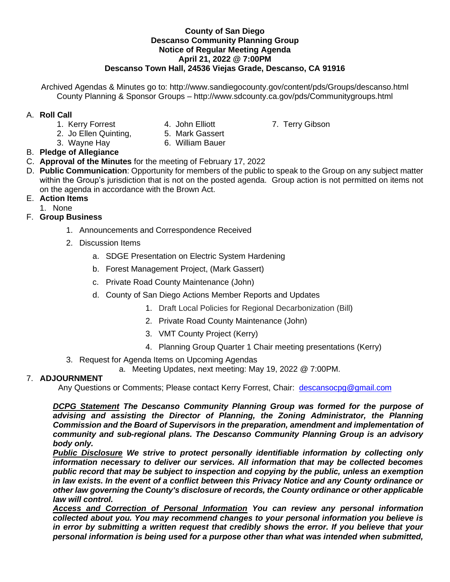## **County of San Diego Descanso Community Planning Group Notice of Regular Meeting Agenda April 21, 2022 @ 7:00PM Descanso Town Hall, 24536 Viejas Grade, Descanso, CA 91916**

Archived Agendas & Minutes go to: http://www.sandiegocounty.gov/content/pds/Groups/descanso.html County Planning & Sponsor Groups – http://www.sdcounty.ca.gov/pds/Communitygroups.html

## A. **Roll Call**

- 
- 1. Kerry Forrest **4. John Elliott** 7. Terry Gibson<br>2. Jo Ellen Quinting, 5. Mark Gassert
- 
- 2. Jo Ellen Quinting,
- 3. Wayne Hay 6. William Bauer
- B. **Pledge of Allegiance**
- C. **Approval of the Minutes** for the meeting of February 17, 2022
- D. **Public Communication**: Opportunity for members of the public to speak to the Group on any subject matter within the Group's jurisdiction that is not on the posted agenda. Group action is not permitted on items not on the agenda in accordance with the Brown Act.
- E. **Action Items**
	- 1. None
- F. **Group Business**
	- 1. Announcements and Correspondence Received
	- 2. Discussion Items
		- a. SDGE Presentation on Electric System Hardening
		- b. Forest Management Project, (Mark Gassert)
		- c. Private Road County Maintenance (John)
		- d. County of San Diego Actions Member Reports and Updates
			- 1. Draft Local Policies for Regional Decarbonization (Bill)
			- 2. Private Road County Maintenance (John)
			- 3. VMT County Project (Kerry)
			- 4. Planning Group Quarter 1 Chair meeting presentations (Kerry)
	- 3. Request for Agenda Items on Upcoming Agendas
		- a. Meeting Updates, next meeting: May 19, 2022 @ 7:00PM.

## 7. **ADJOURNMENT**

Any Questions or Comments; Please contact Kerry Forrest, Chair: [descansocpg@gmail.com](mailto:descansocpg@gmail.com)

*DCPG Statement The Descanso Community Planning Group was formed for the purpose of advising and assisting the Director of Planning, the Zoning Administrator, the Planning Commission and the Board of Supervisors in the preparation, amendment and implementation of community and sub-regional plans. The Descanso Community Planning Group is an advisory body only.* 

*Public Disclosure We strive to protect personally identifiable information by collecting only information necessary to deliver our services. All information that may be collected becomes public record that may be subject to inspection and copying by the public, unless an exemption in law exists. In the event of a conflict between this Privacy Notice and any County ordinance or other law governing the County's disclosure of records, the County ordinance or other applicable law will control.*

*Access and Correction of Personal Information You can review any personal information collected about you. You may recommend changes to your personal information you believe is in error by submitting a written request that credibly shows the error. If you believe that your personal information is being used for a purpose other than what was intended when submitted,*